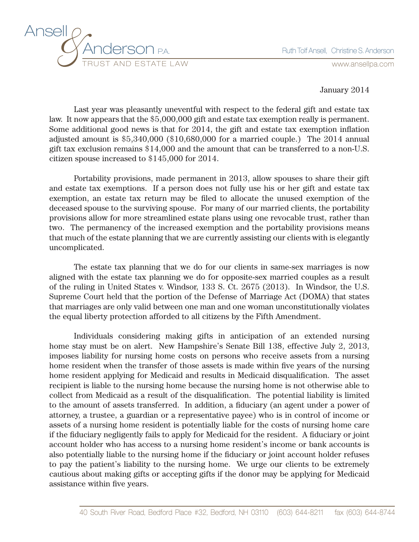

## January 2014

Last year was pleasantly uneventful with respect to the federal gift and estate tax law. It now appears that the \$5,000,000 gift and estate tax exemption really is permanent. Some additional good news is that for 2014, the gift and estate tax exemption inflation adjusted amount is \$5,340,000 (\$10,680,000 for a married couple.) The 2014 annual gift tax exclusion remains \$14,000 and the amount that can be transferred to a non-U.S. citizen spouse increased to \$145,000 for 2014.

Portability provisions, made permanent in 2013, allow spouses to share their gift and estate tax exemptions. If a person does not fully use his or her gift and estate tax exemption, an estate tax return may be filed to allocate the unused exemption of the deceased spouse to the surviving spouse. For many of our married clients, the portability provisions allow for more streamlined estate plans using one revocable trust, rather than two. The permanency of the increased exemption and the portability provisions means that much of the estate planning that we are currently assisting our clients with is elegantly uncomplicated.

The estate tax planning that we do for our clients in same-sex marriages is now aligned with the estate tax planning we do for opposite-sex married couples as a result of the ruling in United States v. Windsor, 133 S. Ct. 2675 (2013). In Windsor, the U.S. Supreme Court held that the portion of the Defense of Marriage Act (DOMA) that states that marriages are only valid between one man and one woman unconstitutionally violates the equal liberty protection afforded to all citizens by the Fifth Amendment.

Individuals considering making gifts in anticipation of an extended nursing home stay must be on alert. New Hampshire's Senate Bill 138, effective July 2, 2013, imposes liability for nursing home costs on persons who receive assets from a nursing home resident when the transfer of those assets is made within five years of the nursing home resident applying for Medicaid and results in Medicaid disqualification. The asset recipient is liable to the nursing home because the nursing home is not otherwise able to collect from Medicaid as a result of the disqualification. The potential liability is limited to the amount of assets transferred. In addition, a fiduciary (an agent under a power of attorney, a trustee, a guardian or a representative payee) who is in control of income or assets of a nursing home resident is potentially liable for the costs of nursing home care if the fiduciary negligently fails to apply for Medicaid for the resident. A fiduciary or joint account holder who has access to a nursing home resident's income or bank accounts is also potentially liable to the nursing home if the fiduciary or joint account holder refuses to pay the patient's liability to the nursing home. We urge our clients to be extremely cautious about making gifts or accepting gifts if the donor may be applying for Medicaid assistance within five years.